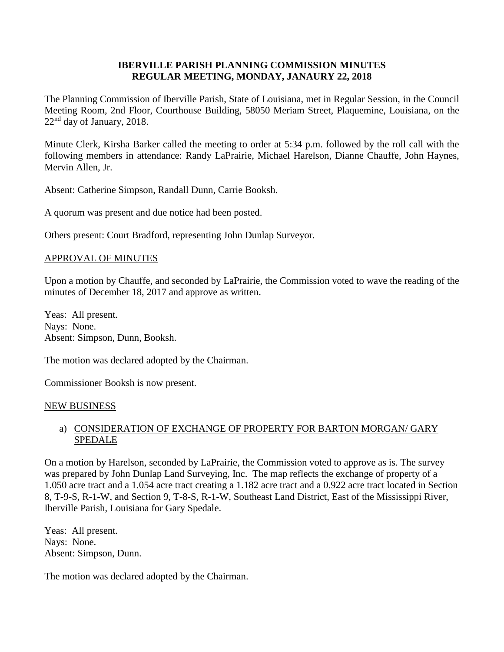#### **IBERVILLE PARISH PLANNING COMMISSION MINUTES REGULAR MEETING, MONDAY, JANAURY 22, 2018**

The Planning Commission of Iberville Parish, State of Louisiana, met in Regular Session, in the Council Meeting Room, 2nd Floor, Courthouse Building, 58050 Meriam Street, Plaquemine, Louisiana, on the 22nd day of January, 2018.

Minute Clerk, Kirsha Barker called the meeting to order at 5:34 p.m. followed by the roll call with the following members in attendance: Randy LaPrairie, Michael Harelson, Dianne Chauffe, John Haynes, Mervin Allen, Jr.

Absent: Catherine Simpson, Randall Dunn, Carrie Booksh.

A quorum was present and due notice had been posted.

Others present: Court Bradford, representing John Dunlap Surveyor.

#### APPROVAL OF MINUTES

Upon a motion by Chauffe, and seconded by LaPrairie, the Commission voted to wave the reading of the minutes of December 18, 2017 and approve as written.

Yeas: All present. Nays: None. Absent: Simpson, Dunn, Booksh.

The motion was declared adopted by the Chairman.

Commissioner Booksh is now present.

#### NEW BUSINESS

### a) CONSIDERATION OF EXCHANGE OF PROPERTY FOR BARTON MORGAN/ GARY SPEDALE

On a motion by Harelson, seconded by LaPrairie, the Commission voted to approve as is. The survey was prepared by John Dunlap Land Surveying, Inc. The map reflects the exchange of property of a 1.050 acre tract and a 1.054 acre tract creating a 1.182 acre tract and a 0.922 acre tract located in Section 8, T-9-S, R-1-W, and Section 9, T-8-S, R-1-W, Southeast Land District, East of the Mississippi River, Iberville Parish, Louisiana for Gary Spedale.

Yeas: All present. Nays: None. Absent: Simpson, Dunn.

The motion was declared adopted by the Chairman.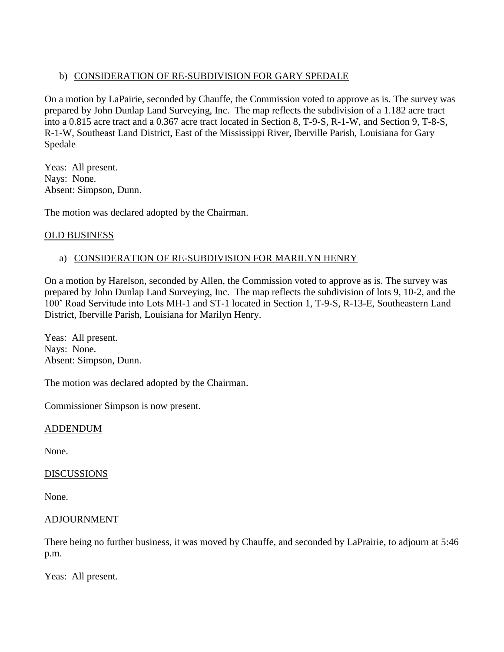# b) CONSIDERATION OF RE-SUBDIVISION FOR GARY SPEDALE

On a motion by LaPairie, seconded by Chauffe, the Commission voted to approve as is. The survey was prepared by John Dunlap Land Surveying, Inc. The map reflects the subdivision of a 1.182 acre tract into a 0.815 acre tract and a 0.367 acre tract located in Section 8, T-9-S, R-1-W, and Section 9, T-8-S, R-1-W, Southeast Land District, East of the Mississippi River, Iberville Parish, Louisiana for Gary Spedale

Yeas: All present. Nays: None. Absent: Simpson, Dunn.

The motion was declared adopted by the Chairman.

# OLD BUSINESS

# a) CONSIDERATION OF RE-SUBDIVISION FOR MARILYN HENRY

On a motion by Harelson, seconded by Allen, the Commission voted to approve as is. The survey was prepared by John Dunlap Land Surveying, Inc. The map reflects the subdivision of lots 9, 10-2, and the 100' Road Servitude into Lots MH-1 and ST-1 located in Section 1, T-9-S, R-13-E, Southeastern Land District, Iberville Parish, Louisiana for Marilyn Henry.

Yeas: All present. Nays: None. Absent: Simpson, Dunn.

The motion was declared adopted by the Chairman.

Commissioner Simpson is now present.

### ADDENDUM

None.

### **DISCUSSIONS**

None.

#### ADJOURNMENT

There being no further business, it was moved by Chauffe, and seconded by LaPrairie, to adjourn at 5:46 p.m.

Yeas: All present.